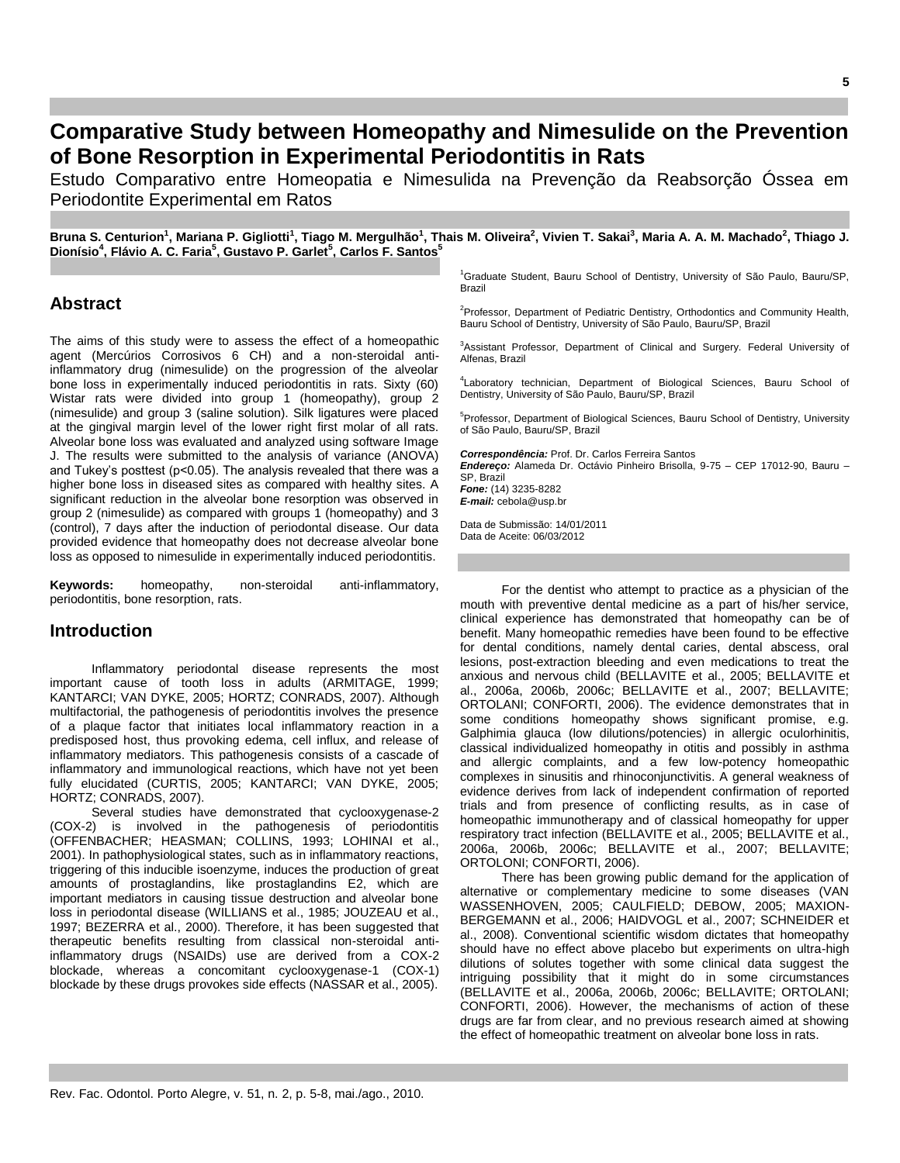# **Comparative Study between Homeopathy and Nimesulide on the Prevention of Bone Resorption in Experimental Periodontitis in Rats**

Estudo Comparativo entre Homeopatia e Nimesulida na Prevenção da Reabsorção Óssea em Periodontite Experimental em Ratos

Bruna S. Centurion<sup>1</sup>, Mariana P. Gigliotti<sup>1</sup>, Tiago M. Mergulhão<sup>1</sup>, Thais M. Oliveira<sup>2</sup>, Vivien T. Sakai<sup>3</sup>, Maria A. A. M. Machado<sup>2</sup>, Thiago J. **Dionísio<sup>4</sup> , Flávio A. C. Faria<sup>5</sup> , Gustavo P. Garlet<sup>5</sup> , Carlos F. Santos<sup>5</sup>**

# **Abstract**

The aims of this study were to assess the effect of a homeopathic agent (Mercúrios Corrosivos 6 CH) and a non-steroidal antiinflammatory drug (nimesulide) on the progression of the alveolar bone loss in experimentally induced periodontitis in rats. Sixty (60) Wistar rats were divided into group 1 (homeopathy), group 2 (nimesulide) and group 3 (saline solution). Silk ligatures were placed at the gingival margin level of the lower right first molar of all rats. Alveolar bone loss was evaluated and analyzed using software Image J. The results were submitted to the analysis of variance (ANOVA) and Tukey's posttest (p<0.05). The analysis revealed that there was a higher bone loss in diseased sites as compared with healthy sites. A significant reduction in the alveolar bone resorption was observed in group 2 (nimesulide) as compared with groups 1 (homeopathy) and 3 (control), 7 days after the induction of periodontal disease. Our data provided evidence that homeopathy does not decrease alveolar bone loss as opposed to nimesulide in experimentally induced periodontitis.

**Keywords:** homeopathy, non-steroidal anti-inflammatory, periodontitis, bone resorption, rats.

### **Introduction**

Inflammatory periodontal disease represents the most important cause of tooth loss in adults (ARMITAGE, 1999; KANTARCI; VAN DYKE, 2005; HORTZ; CONRADS, 2007). Although multifactorial, the pathogenesis of periodontitis involves the presence of a plaque factor that initiates local inflammatory reaction in a predisposed host, thus provoking edema, cell influx, and release of inflammatory mediators. This pathogenesis consists of a cascade of inflammatory and immunological reactions, which have not yet been fully elucidated (CURTIS, 2005; KANTARCI; VAN DYKE, 2005; HORTZ; CONRADS, 2007).

Several studies have demonstrated that cyclooxygenase-2 (COX-2) is involved in the pathogenesis of periodontitis (OFFENBACHER; HEASMAN; COLLINS, 1993; LOHINAI et al., 2001). In pathophysiological states, such as in inflammatory reactions, triggering of this inducible isoenzyme, induces the production of great amounts of prostaglandins, like prostaglandins E2, which are important mediators in causing tissue destruction and alveolar bone loss in periodontal disease (WILLIANS et al., 1985; JOUZEAU et al., 1997; BEZERRA et al., 2000). Therefore, it has been suggested that therapeutic benefits resulting from classical non-steroidal antiinflammatory drugs (NSAIDs) use are derived from a COX-2 blockade, whereas a concomitant cyclooxygenase-1 (COX-1) blockade by these drugs provokes side effects (NASSAR et al., 2005).

<sup>1</sup>Graduate Student, Bauru School of Dentistry, University of São Paulo, Bauru/SP, Brazil

<sup>2</sup>Professor, Department of Pediatric Dentistry, Orthodontics and Community Health, Bauru School of Dentistry, University of São Paulo, Bauru/SP, Brazil

<sup>3</sup>Assistant Professor, Department of Clinical and Surgery. Federal University of Alfenas, Brazil

<sup>4</sup>Laboratory technician, Department of Biological Sciences, Bauru School of Dentistry, University of São Paulo, Bauru/SP, Brazil

<sup>5</sup>Professor, Department of Biological Sciences, Bauru School of Dentistry, University of São Paulo, Bauru/SP, Brazil

*Correspondência:* Prof. Dr. Carlos Ferreira Santos *Endereço:* Alameda Dr. Octávio Pinheiro Brisolla, 9-75 – CEP 17012-90, Bauru – SP, Brazil *Fone:* (14) 3235-8282 *E-mail:* cebola@usp.br

Data de Submissão: 14/01/2011 Data de Aceite: 06/03/2012

For the dentist who attempt to practice as a physician of the mouth with preventive dental medicine as a part of his/her service, clinical experience has demonstrated that homeopathy can be of benefit. Many homeopathic remedies have been found to be effective for dental conditions, namely dental caries, dental abscess, oral lesions, post-extraction bleeding and even medications to treat the anxious and nervous child (BELLAVITE et al., 2005; BELLAVITE et al., 2006a, 2006b, 2006c; BELLAVITE et al., 2007; BELLAVITE; ORTOLANI; CONFORTI, 2006). The evidence demonstrates that in some conditions homeopathy shows significant promise, e.g. Galphimia glauca (low dilutions/potencies) in allergic oculorhinitis, classical individualized homeopathy in otitis and possibly in asthma and allergic complaints, and a few low-potency homeopathic complexes in sinusitis and rhinoconjunctivitis. A general weakness of evidence derives from lack of independent confirmation of reported trials and from presence of conflicting results, as in case of homeopathic immunotherapy and of classical homeopathy for upper respiratory tract infection (BELLAVITE et al., 2005; BELLAVITE et al., 2006a, 2006b, 2006c; BELLAVITE et al., 2007; BELLAVITE; ORTOLONI; CONFORTI, 2006).

There has been growing public demand for the application of alternative or complementary medicine to some diseases (VAN WASSENHOVEN, 2005; CAULFIELD; DEBOW, 2005; MAXION-BERGEMANN et al., 2006; HAIDVOGL et al., 2007; SCHNEIDER et al., 2008). Conventional scientific wisdom dictates that homeopathy should have no effect above placebo but experiments on ultra-high dilutions of solutes together with some clinical data suggest the intriguing possibility that it might do in some circumstances (BELLAVITE et al., 2006a, 2006b, 2006c; BELLAVITE; ORTOLANI; CONFORTI, 2006). However, the mechanisms of action of these drugs are far from clear, and no previous research aimed at showing the effect of homeopathic treatment on alveolar bone loss in rats.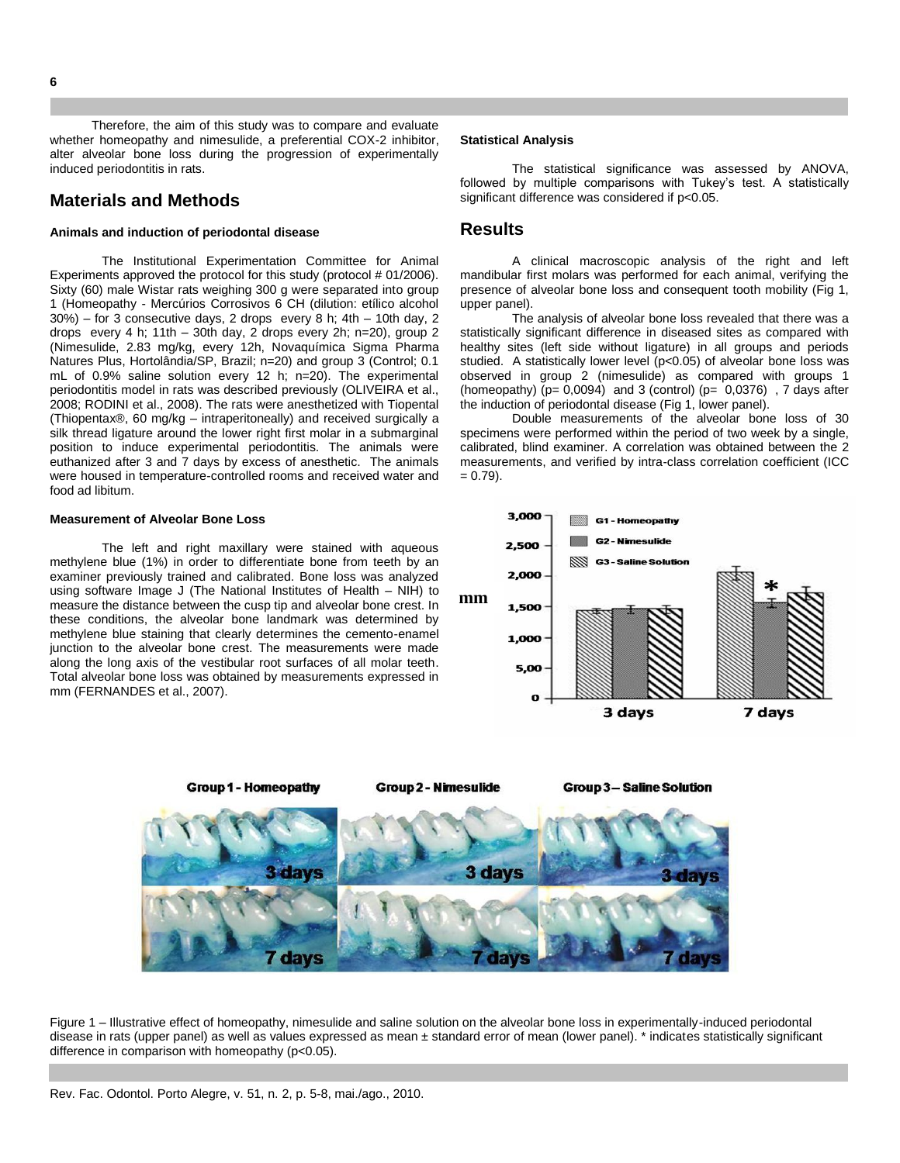Therefore, the aim of this study was to compare and evaluate whether homeopathy and nimesulide, a preferential COX-2 inhibitor, alter alveolar bone loss during the progression of experimentally induced periodontitis in rats.

# **Materials and Methods**

#### **Animals and induction of periodontal disease**

The Institutional Experimentation Committee for Animal Experiments approved the protocol for this study (protocol # 01/2006). Sixty (60) male Wistar rats weighing 300 g were separated into group 1 (Homeopathy - Mercúrios Corrosivos 6 CH (dilution: etílico alcohol 30%) – for 3 consecutive days, 2 drops every 8 h; 4th – 10th day, 2 drops every 4 h; 11th – 30th day, 2 drops every 2h; n=20), group 2 (Nimesulide, 2.83 mg/kg, every 12h, Novaquímica Sigma Pharma Natures Plus, Hortolândia/SP, Brazil; n=20) and group 3 (Control; 0.1 mL of 0.9% saline solution every 12 h; n=20). The experimental periodontitis model in rats was described previously (OLIVEIRA et al., 2008; RODINI et al., 2008). The rats were anesthetized with Tiopental (Thiopentax®, 60 mg/kg – intraperitoneally) and received surgically a silk thread ligature around the lower right first molar in a submarginal position to induce experimental periodontitis. The animals were euthanized after 3 and 7 days by excess of anesthetic. The animals were housed in temperature-controlled rooms and received water and food ad libitum.

#### **Measurement of Alveolar Bone Loss**

The left and right maxillary were stained with aqueous methylene blue (1%) in order to differentiate bone from teeth by an examiner previously trained and calibrated. Bone loss was analyzed using software Image J (The National Institutes of Health – NIH) to measure the distance between the cusp tip and alveolar bone crest. In these conditions, the alveolar bone landmark was determined by methylene blue staining that clearly determines the cemento-enamel junction to the alveolar bone crest. The measurements were made along the long axis of the vestibular root surfaces of all molar teeth. Total alveolar bone loss was obtained by measurements expressed in mm (FERNANDES et al., 2007).

#### **Statistical Analysis**

The statistical significance was assessed by ANOVA, followed by multiple comparisons with Tukey's test. A statistically significant difference was considered if p<0.05.

## **Results**

A clinical macroscopic analysis of the right and left mandibular first molars was performed for each animal, verifying the presence of alveolar bone loss and consequent tooth mobility (Fig 1, upper panel).

The analysis of alveolar bone loss revealed that there was a statistically significant difference in diseased sites as compared with healthy sites (left side without ligature) in all groups and periods studied. A statistically lower level (p<0.05) of alveolar bone loss was observed in group 2 (nimesulide) as compared with groups 1 (homeopathy)  $(p= 0,0094)$  and 3 (control) ( $p= 0,0376$ ), 7 days after the induction of periodontal disease (Fig 1, lower panel).

Double measurements of the alveolar bone loss of 30 specimens were performed within the period of two week by a single, calibrated, blind examiner. A correlation was obtained between the 2 measurements, and verified by intra-class correlation coefficient (ICC  $= 0.79$ ).





Figure 1 – Illustrative effect of homeopathy, nimesulide and saline solution on the alveolar bone loss in experimentally-induced periodontal disease in rats (upper panel) as well as values expressed as mean ± standard error of mean (lower panel). \* indicates statistically significant difference in comparison with homeopathy (p<0.05).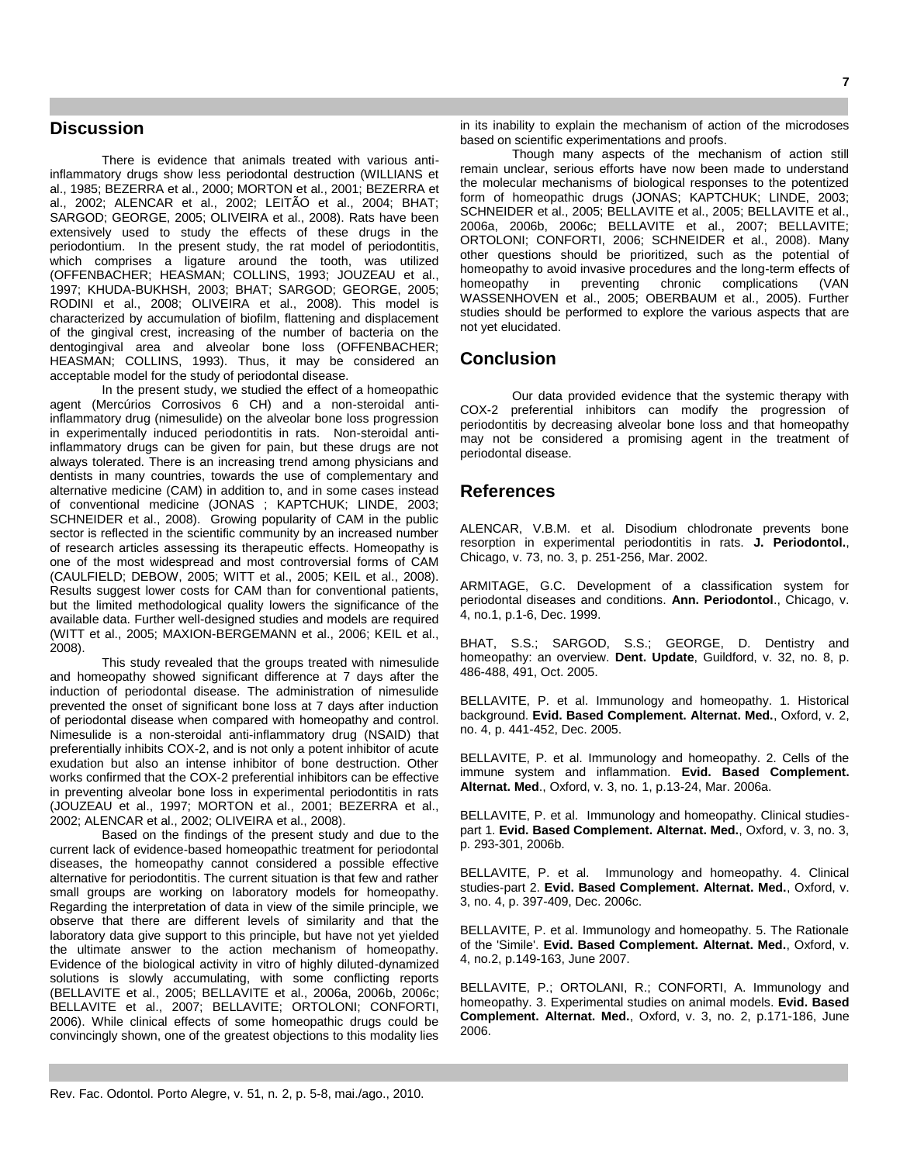# **Discussion**

There is evidence that animals treated with various antiinflammatory drugs show less periodontal destruction (WILLIANS et al., 1985; BEZERRA et al., 2000; MORTON et al., 2001; BEZERRA et al., 2002; ALENCAR et al., 2002; LEITÃO et al., 2004; BHAT; SARGOD; GEORGE, 2005; OLIVEIRA et al., 2008). Rats have been extensively used to study the effects of these drugs in the periodontium. In the present study, the rat model of periodontitis, which comprises a ligature around the tooth, was utilized (OFFENBACHER; HEASMAN; COLLINS, 1993; JOUZEAU et al., 1997; KHUDA-BUKHSH, 2003; BHAT; SARGOD; GEORGE, 2005; RODINI et al., 2008; OLIVEIRA et al., 2008). This model is characterized by accumulation of biofilm, flattening and displacement of the gingival crest, increasing of the number of bacteria on the dentogingival area and alveolar bone loss (OFFENBACHER; HEASMAN; COLLINS, 1993). Thus, it may be considered an acceptable model for the study of periodontal disease.

In the present study, we studied the effect of a homeopathic agent (Mercúrios Corrosivos 6 CH) and a non-steroidal antiinflammatory drug (nimesulide) on the alveolar bone loss progression in experimentally induced periodontitis in rats. Non-steroidal antiinflammatory drugs can be given for pain, but these drugs are not always tolerated. There is an increasing trend among physicians and dentists in many countries, towards the use of complementary and alternative medicine (CAM) in addition to, and in some cases instead of conventional medicine (JONAS ; KAPTCHUK; LINDE, 2003; SCHNEIDER et al., 2008). Growing popularity of CAM in the public sector is reflected in the scientific community by an increased number of research articles assessing its therapeutic effects. Homeopathy is one of the most widespread and most controversial forms of CAM (CAULFIELD; DEBOW, 2005; WITT et al., 2005; KEIL et al., 2008). Results suggest lower costs for CAM than for conventional patients, but the limited methodological quality lowers the significance of the available data. Further well-designed studies and models are required (WITT et al., 2005; MAXION-BERGEMANN et al., 2006; KEIL et al., 2008).

This study revealed that the groups treated with nimesulide and homeopathy showed significant difference at 7 days after the induction of periodontal disease. The administration of nimesulide prevented the onset of significant bone loss at 7 days after induction of periodontal disease when compared with homeopathy and control. Nimesulide is a non-steroidal anti-inflammatory drug (NSAID) that preferentially inhibits COX-2, and is not only a potent inhibitor of acute exudation but also an intense inhibitor of bone destruction. Other works confirmed that the COX-2 preferential inhibitors can be effective in preventing alveolar bone loss in experimental periodontitis in rats (JOUZEAU et al., 1997; MORTON et al., 2001; BEZERRA et al., 2002; ALENCAR et al., 2002; OLIVEIRA et al., 2008).

Based on the findings of the present study and due to the current lack of evidence-based homeopathic treatment for periodontal diseases, the homeopathy cannot considered a possible effective alternative for periodontitis. The current situation is that few and rather small groups are working on laboratory models for homeopathy. Regarding the interpretation of data in view of the simile principle, we observe that there are different levels of similarity and that the laboratory data give support to this principle, but have not yet yielded the ultimate answer to the action mechanism of homeopathy. Evidence of the biological activity in vitro of highly diluted-dynamized solutions is slowly accumulating, with some conflicting reports (BELLAVITE et al., 2005; BELLAVITE et al., 2006a, 2006b, 2006c; BELLAVITE et al., 2007; BELLAVITE; ORTOLONI; CONFORTI, 2006). While clinical effects of some homeopathic drugs could be convincingly shown, one of the greatest objections to this modality lies

in its inability to explain the mechanism of action of the microdoses based on scientific experimentations and proofs.

Though many aspects of the mechanism of action still remain unclear, serious efforts have now been made to understand the molecular mechanisms of biological responses to the potentized form of homeopathic drugs (JONAS; KAPTCHUK; LINDE, 2003; SCHNEIDER et al., 2005; BELLAVITE et al., 2005; BELLAVITE et al., 2006a, 2006b, 2006c; BELLAVITE et al., 2007; BELLAVITE; ORTOLONI; CONFORTI, 2006; SCHNEIDER et al., 2008). Many other questions should be prioritized, such as the potential of homeopathy to avoid invasive procedures and the long-term effects of homeopathy in preventing chronic complications (VAN WASSENHOVEN et al., 2005; OBERBAUM et al., 2005). Further studies should be performed to explore the various aspects that are not yet elucidated.

### **Conclusion**

Our data provided evidence that the systemic therapy with COX-2 preferential inhibitors can modify the progression of periodontitis by decreasing alveolar bone loss and that homeopathy may not be considered a promising agent in the treatment of periodontal disease.

### **References**

ALENCAR, V.B.M. et al. Disodium chlodronate prevents bone resorption in experimental periodontitis in rats. **J. Periodontol.**, Chicago, v. 73, no. 3, p. 251-256, Mar. 2002.

ARMITAGE, G.C. Development of a classification system for periodontal diseases and conditions. **Ann. Periodontol**., Chicago, v. 4, no.1, p.1-6, Dec. 1999.

[BHAT, S.S.;](http://www.ncbi.nlm.nih.gov/entrez/query.fcgi?db=pubmed&cmd=Search&itool=pubmed_Abstract&term=%22Bhat+SS%22%5BAuthor%5D) [SARGOD, S.S.;](http://www.ncbi.nlm.nih.gov/entrez/query.fcgi?db=pubmed&cmd=Search&itool=pubmed_Abstract&term=%22Sargod+SS%22%5BAuthor%5D) [GEORGE, D.](http://www.ncbi.nlm.nih.gov/entrez/query.fcgi?db=pubmed&cmd=Search&itool=pubmed_Abstract&term=%22George+D%22%5BAuthor%5D) Dentistry and homeopathy: an overview. **Dent. Update**, Guildford, v. 32, no. 8, p. 486-488, 491, Oct. 2005.

BELLAVITE, P. et al. Immunology and homeopathy. 1. Historical background. **Evid. Based Complement. Alternat. Med.**, Oxford, v. 2, no. 4, p. 441-452, Dec. 2005.

BELLAVITE, P. et al. Immunology and homeopathy. 2. Cells of the immune system and inflammation. **Evid. Based Complement. Alternat. Med**., Oxford, v. 3, no. 1, p.13-24, Mar. 2006a.

BELLAVITE, P. et al. Immunology and homeopathy. Clinical studiespart 1. **Evid. Based Complement. Alternat. Med.**, Oxford, v. 3, no. 3, p. 293-301, 2006b.

BELLAVITE, P. et al. Immunology and homeopathy. 4. Clinical studies-part 2. **Evid. Based Complement. Alternat. Med.**, Oxford, v. 3, no. 4, p. 397-409, Dec. 2006c.

BELLAVITE, P. et al. Immunology and homeopathy. 5. The Rationale of the 'Simile'. **Evid. Based Complement. Alternat. Med.**, Oxford, v. 4, no.2, p.149-163, June 2007.

BELLAVITE, P.; ORTOLANI, R.; CONFORTI, A. Immunology and homeopathy. 3. Experimental studies on animal models. **Evid. Based Complement. Alternat. Med.**, Oxford, v. 3, no. 2, p.171-186, June 2006.